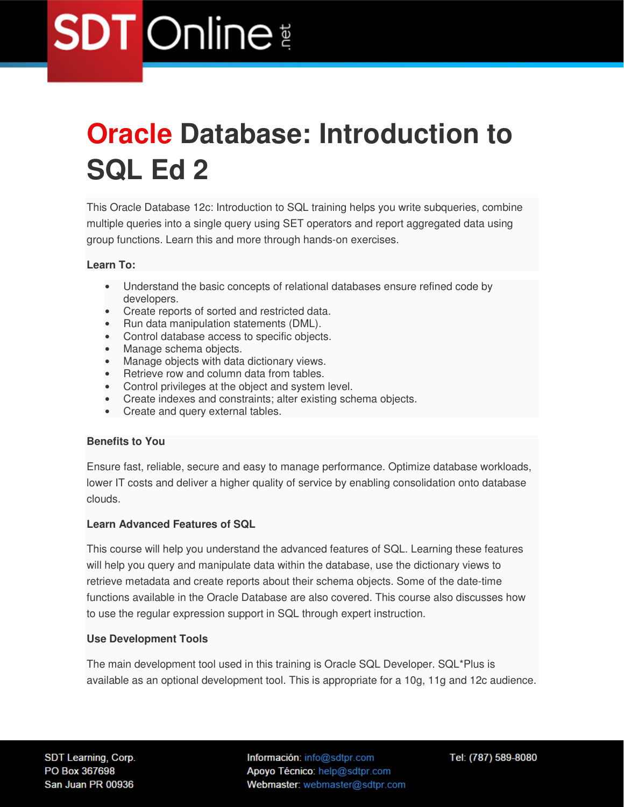# **Oracle Database: Introduction to SQL Ed 2**

This Oracle Database 12c: Introduction to SQL training helps you write subqueries, combine multiple queries into a single query using SET operators and report aggregated data using group functions. Learn this and more through hands-on exercises.

#### **Learn To:**

- Understand the basic concepts of relational databases ensure refined code by developers.
- Create reports of sorted and restricted data.
- Run data manipulation statements (DML).
- Control database access to specific objects.
- Manage schema objects.
- Manage objects with data dictionary views.
- Retrieve row and column data from tables.
- Control privileges at the object and system level.
- Create indexes and constraints; alter existing schema objects.
- Create and query external tables.

#### **Benefits to You**

Ensure fast, reliable, secure and easy to manage performance. Optimize database workloads, lower IT costs and deliver a higher quality of service by enabling consolidation onto database clouds.

#### **Learn Advanced Features of SQL**

This course will help you understand the advanced features of SQL. Learning these features will help you query and manipulate data within the database, use the dictionary views to retrieve metadata and create reports about their schema objects. Some of the date-time functions available in the Oracle Database are also covered. This course also discusses how to use the regular expression support in SQL through expert instruction.

#### **Use Development Tools**

The main development tool used in this training is Oracle SQL Developer. SQL\*Plus is available as an optional development tool. This is appropriate for a 10g, 11g and 12c audience.

Información: info@sdtpr.com Apoyo Técnico: help@sdtpr.com Webmaster: webmaster@sdtpr.com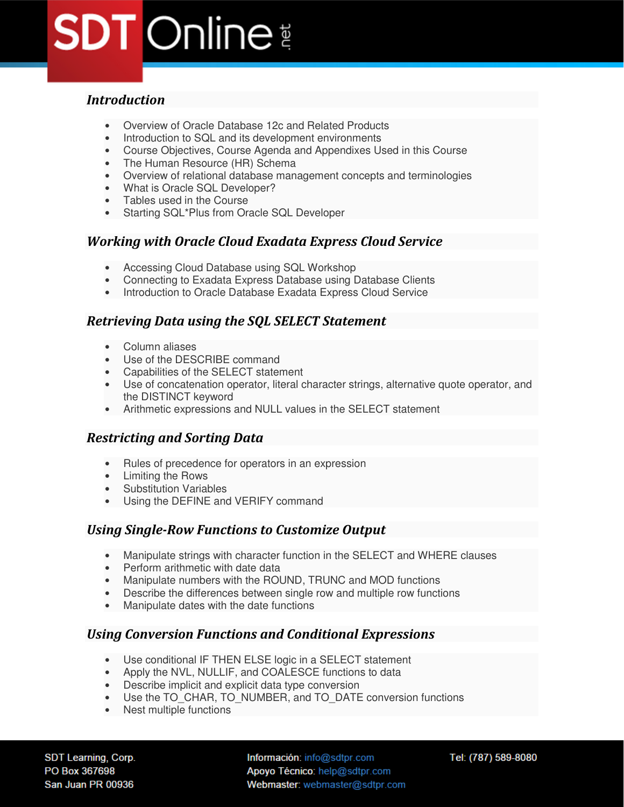# *Introduction*

- Overview of Oracle Database 12c and Related Products
- Introduction to SQL and its development environments
- Course Objectives, Course Agenda and Appendixes Used in this Course
- The Human Resource (HR) Schema
- Overview of relational database management concepts and terminologies
- What is Oracle SQL Developer?
- Tables used in the Course
- Starting SQL\*Plus from Oracle SQL Developer

#### *Working with Oracle Cloud Exadata Express Cloud Service*

- Accessing Cloud Database using SQL Workshop
- Connecting to Exadata Express Database using Database Clients
- Introduction to Oracle Database Exadata Express Cloud Service

#### *Retrieving Data using the SQL SELECT Statement*

- Column aliases
- Use of the DESCRIBE command
- Capabilities of the SELECT statement
- Use of concatenation operator, literal character strings, alternative quote operator, and the DISTINCT keyword
- Arithmetic expressions and NULL values in the SELECT statement

### *Restricting and Sorting Data*

- Rules of precedence for operators in an expression
- Limiting the Rows
- Substitution Variables
- Using the DEFINE and VERIFY command

### *Using Single-Row Functions to Customize Output*

- Manipulate strings with character function in the SELECT and WHERE clauses
- Perform arithmetic with date data
- Manipulate numbers with the ROUND, TRUNC and MOD functions
- Describe the differences between single row and multiple row functions
- Manipulate dates with the date functions

### *Using Conversion Functions and Conditional Expressions*

- Use conditional IF THEN ELSE logic in a SELECT statement
- Apply the NVL, NULLIF, and COALESCE functions to data
- Describe implicit and explicit data type conversion
- Use the TO\_CHAR, TO\_NUMBER, and TO\_DATE conversion functions
- Nest multiple functions

SDT Learning, Corp. PO Box 367698 San Juan PR 00936

Información: info@sdtpr.com Apoyo Técnico: help@sdtpr.com Webmaster: webmaster@sdtpr.com Tel: (787) 589-8080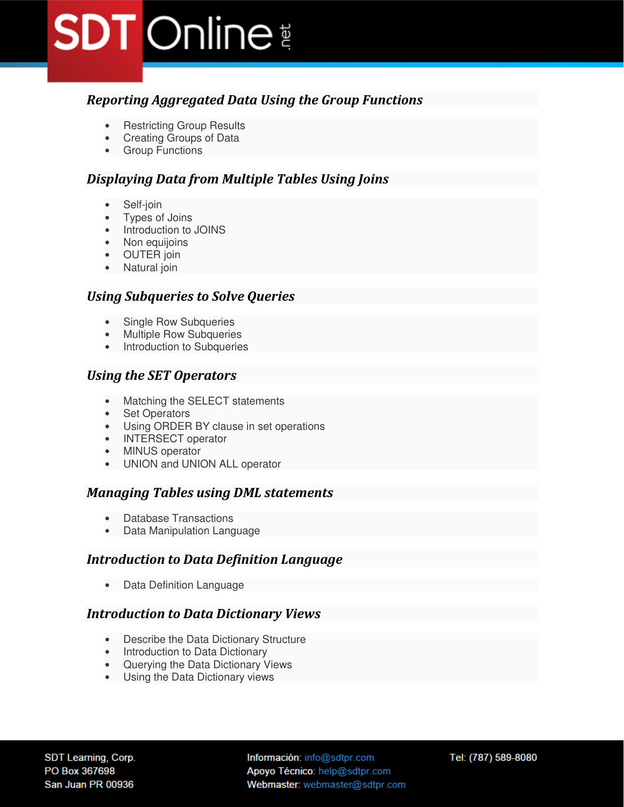### *Reporting Aggregated Data Using the Group Functions*

- Restricting Group Results
- Creating Groups of Data
- Group Functions

#### *Displaying Data from Multiple Tables Using Joins*

- Self-join
- Types of Joins
- Introduction to JOINS
- Non equijoins
- OUTER join
- Natural join

#### *Using Subqueries to Solve Queries*

- Single Row Subqueries
- Multiple Row Subqueries
- Introduction to Subqueries

#### *Using the SET Operators*

- Matching the SELECT statements
- Set Operators
- Using ORDER BY clause in set operations
- INTERSECT operator
- MINUS operator
- UNION and UNION ALL operator

#### *Managing Tables using DML statements*

- Database Transactions
- Data Manipulation Language

#### *Introduction to Data Definition Language*

• Data Definition Language

#### *Introduction to Data Dictionary Views*

- Describe the Data Dictionary Structure
- Introduction to Data Dictionary
- Querying the Data Dictionary Views
- Using the Data Dictionary views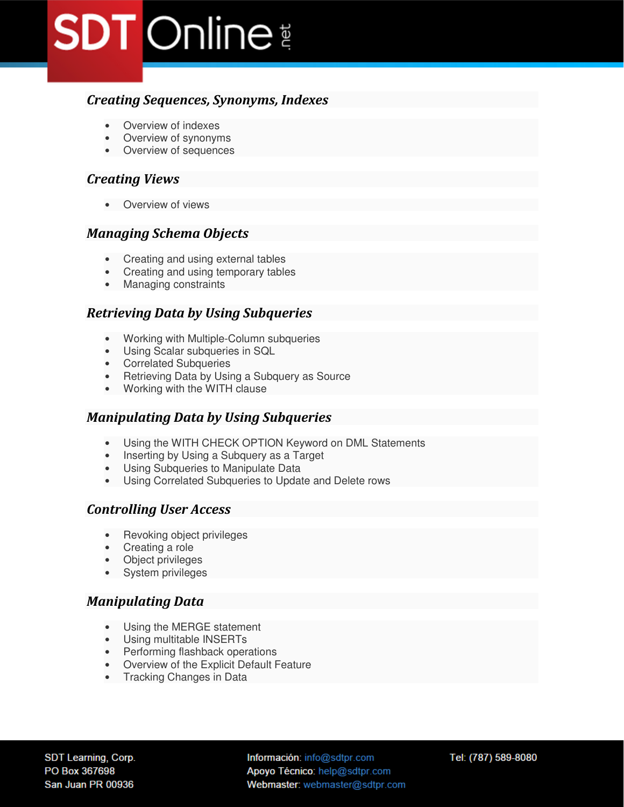# *Creating Sequences, Synonyms, Indexes*

- Overview of indexes
- Overview of synonyms
- Overview of sequences

#### *Creating Views*

• Overview of views

#### *Managing Schema Objects*

- Creating and using external tables
- Creating and using temporary tables
- Managing constraints

#### *Retrieving Data by Using Subqueries*

- Working with Multiple-Column subqueries
- Using Scalar subqueries in SQL
- Correlated Subqueries
- Retrieving Data by Using a Subquery as Source
- Working with the WITH clause

#### *Manipulating Data by Using Subqueries*

- Using the WITH CHECK OPTION Keyword on DML Statements
- Inserting by Using a Subquery as a Target
- Using Subqueries to Manipulate Data
- Using Correlated Subqueries to Update and Delete rows

#### *Controlling User Access*

- Revoking object privileges
- Creating a role
- Object privileges
- System privileges

### *Manipulating Data*

- Using the MERGE statement
- Using multitable INSERTs
- Performing flashback operations
- Overview of the Explicit Default Feature
- Tracking Changes in Data

Información: info@sdtpr.com Apoyo Técnico: help@sdtpr.com Webmaster: webmaster@sdtpr.com